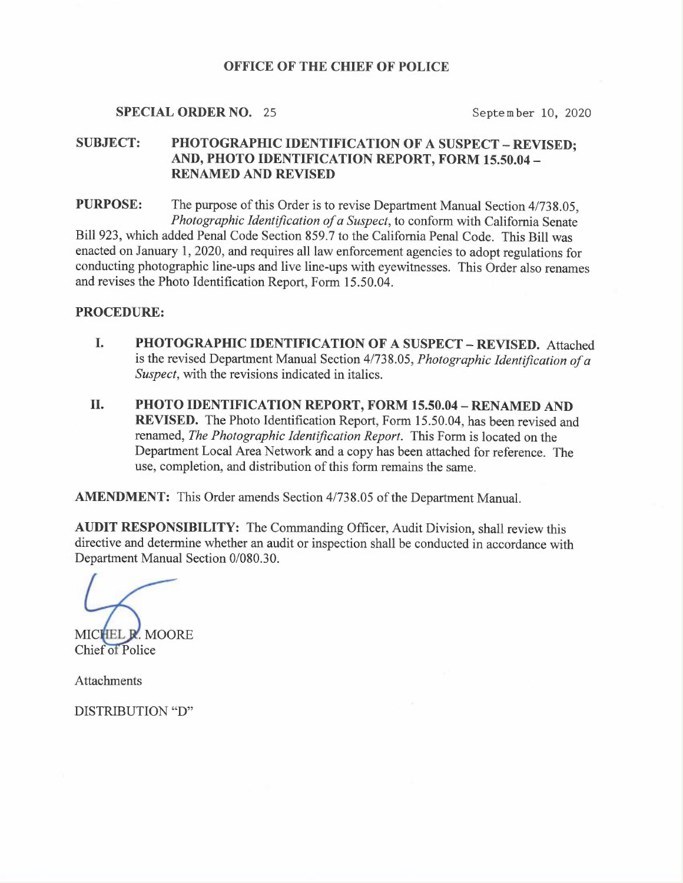### OFFICE OF THE CHIEF OF POLICE

#### SPECIAL ORDER NO. 25 September 10, 2020

# SUBJECT: PHOTOGRAPHIC IDENTIFICATION OF A SUSPECT - REVISED; AND, PHOTO IDENTIFICATION REPORT, FORM 15.50.04 — RENAMED AND REVISED

<sup>P</sup>URPOSE: The purpose of this Order is to revise Department Manual Section 4/738.05, <sup>P</sup>hotographic Identification of a Suspect, to conform with California Senate <sup>B</sup>i11923, which added Penal Code Section 859.7 to the California Penal Code. This Bill was <sup>e</sup>nacted on January 1, 2020, and requires all law enforcement agencies to adopt regulations for <sup>c</sup>onducting photographic line-ups and live line-ups with eyewitnesses. This Order also renames <sup>a</sup>nd revises the Photo Identification Report, Form 15.50.04.

#### PROCEDURE:

- I. PHOTOGRAPHIC IDENTIFICATION OF A SUSPECT —REVISED. Attached <sup>i</sup>s the revised Department Manual Section 4/738.05, Photographic Identification of <sup>a</sup> Suspect, with the revisions indicated in italics.
- II. PHOTO IDENTIFICATION REPORT, FORM 15.50.04 —RENAMED AND <sup>R</sup>EVISED. The Photo Identification Report, Form 15.50.04, has been revised and <sup>r</sup>enamed, The Photographic Identification Report. This Form is located on the <sup>D</sup>epartment Local Area Network and a copy has been attached for reference. The <sup>u</sup>se, completion, and distribution of this form remains the same.

<sup>A</sup>MENDMENT: This Order amends Section 4/738.05 of the Department Manual.

<sup>A</sup>UDIT RESPONSIBILITY: The Commanding Officer, Audit Division, shall review this directive and determine whether an audit or inspection shall be conducted in accordance with Department Manual Section 0/080.30.

MICHEL R. MOORE

Chief of Police

Attachments

DISTRIBUTION "D"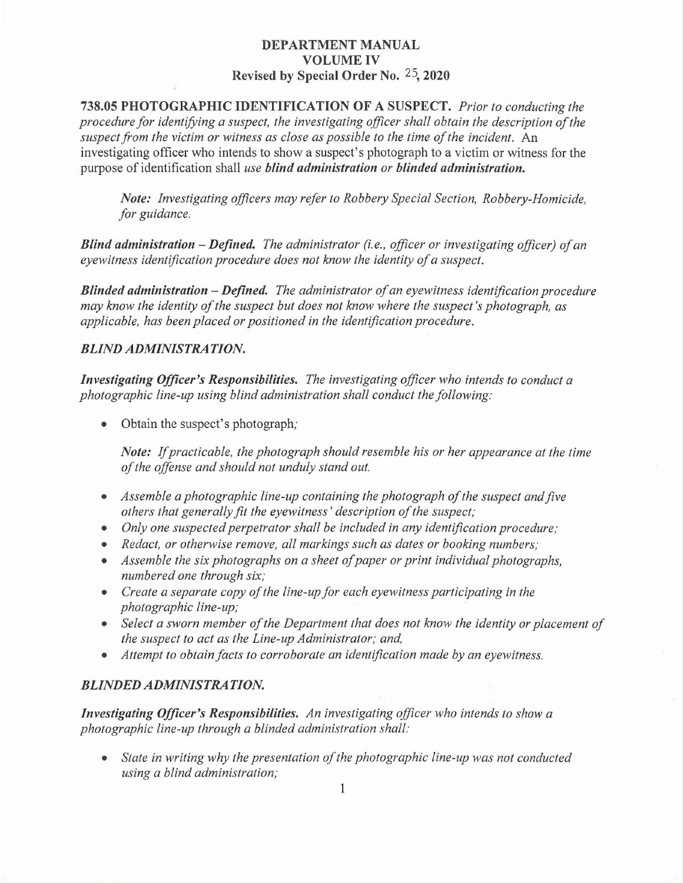### DEPARTMENT MANUAL VOLUME IV Revised by Special Order No. 25, 2020

738.05 PHOTOGRAPHIC IDENTIFICATION OF A SUSPECT. Prior to conducting the procedure for identifying a suspect, the investigating officer shall obtain the description of the suspect from the victim or witness as close as possible to the time of the incident. An investigating officer who intends to show a suspect's photograph to a victim or witness for the purpose of identification shall use blind administration or blinded administration.

Note: Investigating officers may refer to Robbery Special Section, Robbery-Homicide, for guidance.

**Blind administration – Defined.** The administrator (i.e., officer or investigating officer) of an eyewitness identification procedure does not know the identity of a suspect.

**Blinded administration – Defined.** The administrator of an eyewitness identification procedure may know the identity of the suspect but does not know where the suspect's photograph, as applicable, has been placed or positioned in the identification procedure.

#### BLIND ADMINISTRATION.

Investigating Officer's Responsibilities. The investigating officer who intends to conduct a photographic line-up using blind administration shall conduct the following:

• Obtain the suspect's photograph;

Note: If practicable, the photograph should resemble his or her appearance at the time of the offense and should not unduly stand out.

- Assemble a photographic line-up containing the photograph of the suspect and five others that generally fit the eyewitness' description of the suspect;
- Only one suspected perpetrator shall be included in any identification procedure;
- Redact, or otherwise remove, all markings such as dates or booking numbers;
- Assemble the six photographs on a sheet of paper or print individual photographs, numbered one through six;
- Create a separate copy of the line-up for each eyewitness participating in the photographic line-up;
- Select a sworn member of the Department that does not know the identity or placement of the suspect to act as the Line-up Administrator; and,
- Attempt to obtain facts to corroborate an identification made by an eyewitness.

## BLINDED ADMINISTRATION.

Investigating Officer's Responsibilities. An investigating officer who intends to show a photographic line-up through a blinded administration shall:

State in writing why the presentation of the photographic line-up was not conducted using a blind administration;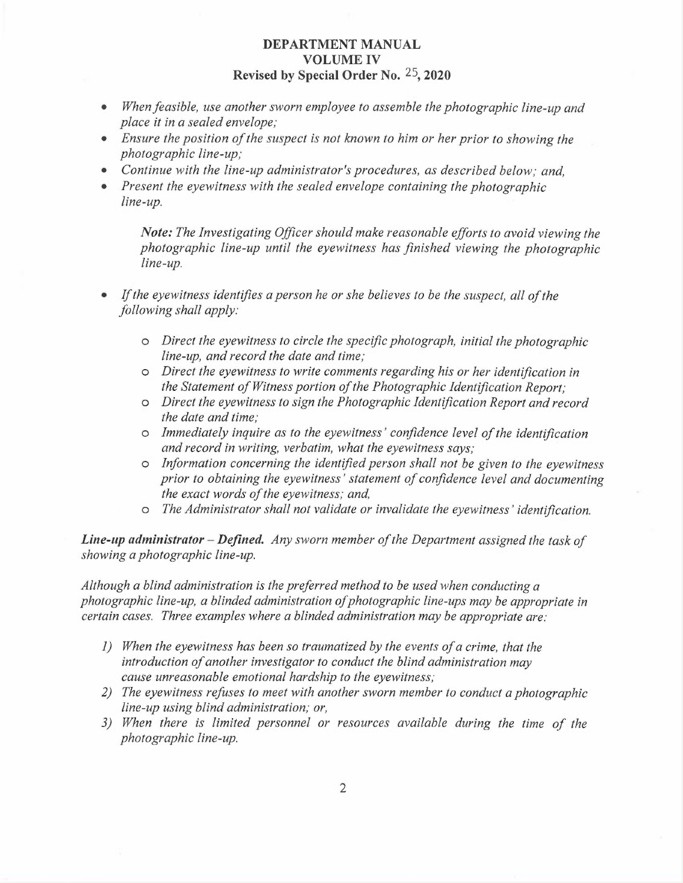### DEPARTMENT MANUAL VOLUME IV Revised by Special Order No. 25, 2020

- When feasible, use another sworn employee to assemble the photographic line-up and place it in a sealed envelope;
- Ensure the position of the suspect is not known to him or her prior to showing the photographic line-up;
- Continue with the line-up administrator's procedures, as described below; and,
- Present the eyewitness with the sealed envelope containing the photographic line-up.

Note: The Investigating Officer should make reasonable efforts to avoid viewing the photographic line-up until the eyewitness has finished viewing the photographic line-up.

- If the eyewitness identifies a person he or she believes to be the suspect, all of the following shall apply:
	- $\circ$  Direct the eyewitness to circle the specific photograph, initial the photographic line-up, and record the date and time;
	- o Direct the eyewitness to write comments regarding his or her identification in the Statement of Witness potion of the Photographic Identification Report;
	- o Direct the eyewitness to sign the Photographic Identification Report and record the date and time;
	- o Immediately inquire as to the eyewitness' confidence level of the identification and record in writing, verbatim, what the eyewitness says;
	- o Information concerning the identified person shall not be given to the eyewitness prior to obtaining the eyewitness' statement of confidence level and documenting the exact words of the eyewitness; and,
	- o The Administrator shall not validate or invalidate the eyewitness' identification.

**Line-up administrator – Defined.** Any sworn member of the Department assigned the task of showing a photographic line-up.

Although a blind administration is the preferred method to be used when conducting a photographic line-up, a blinded administration of photographic line-ups may be appropriate in certain cases. Three examples where a blinded administration maybe appropriate are:

- 1) YYhen the eyewitness has been so traumatized by the events of a crime, that the introduction of another investigator to conduct the blind administration may cause unreasonable emotional hardship to the eyewitness;
- 2) The eyewitness refuses to meet with another sworn member to conduct a photographic line-up using blind administration; or,
- 3) When there is limited personnel or resources available during the time of the photographic line-up.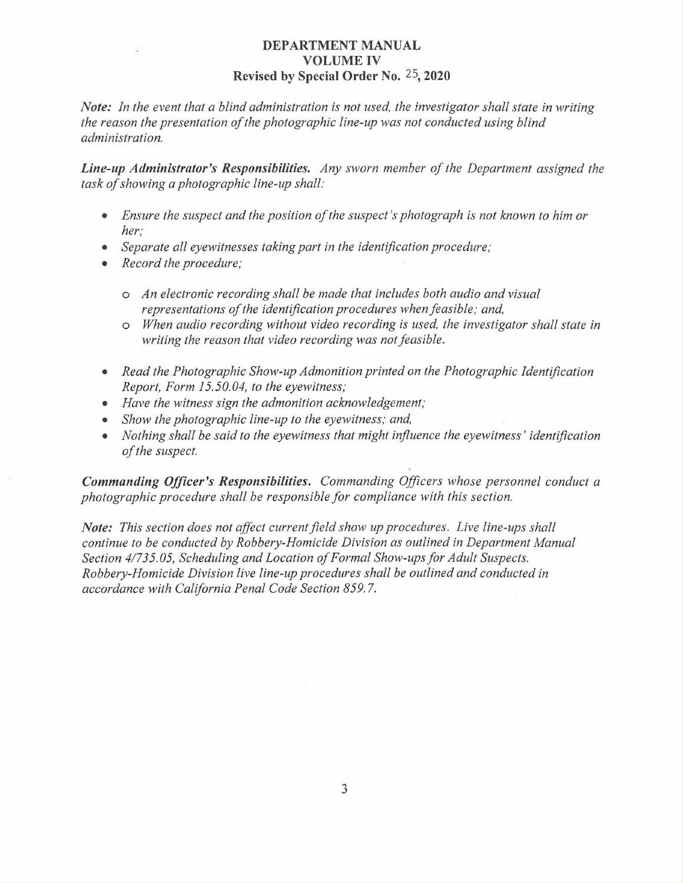### DEPARTMENT MANUAL VOLUME IV Revised by Special Order No. 25, 2020

Note: In the event that a blind administration is not used, the investigator shall state in writing the reason the presentation of the photographic line-up was not conducted using blind administration.

Line-up Administrator's Responsibilities. Any sworn member of the Department assigned the task of showing a photographic line-up shall:

- Ensure the suspect and the position of the suspect's photograph is not known to him or her;
- Separate all eyewitnesses taking part in the identification procedure;
- Record the procedure;
	- o An electronic recording shall be made that includes both audio and visual representations of the identification procedures when feasible; and,
	- o When audio recording without video recording is used, the investigator shall state in writing the reason that video recording was not feasible.
- Read the Photographic Show-up Admonition printed on the Photographic Identification Report, Form 15.50.04, to the eyewitness;
- Have the witness sign the admonition acknowledgement;
- Show the photographic line-up to the eyewitness; and,
- Nothing shall be said to the eyewitness that might influence the eyewitness' identification of the suspect.

Commanding Officer's Responsibilities. Commanding Officers whose personnel conduct a photographic procedure shall be responsible for compliance with this section.

Note: This section does not affect current field show up procedures. Live line-ups shall continue to be conducted by Robbery-Homicide Division as outlined in Department Manual Section 4/735.05, Scheduling and Location of Formal Show-ups for Adult Suspects. Robbery-Homicide Division live line-up procedures shall be outlined and conducted in accordance with California Penal Code Section 859.7.